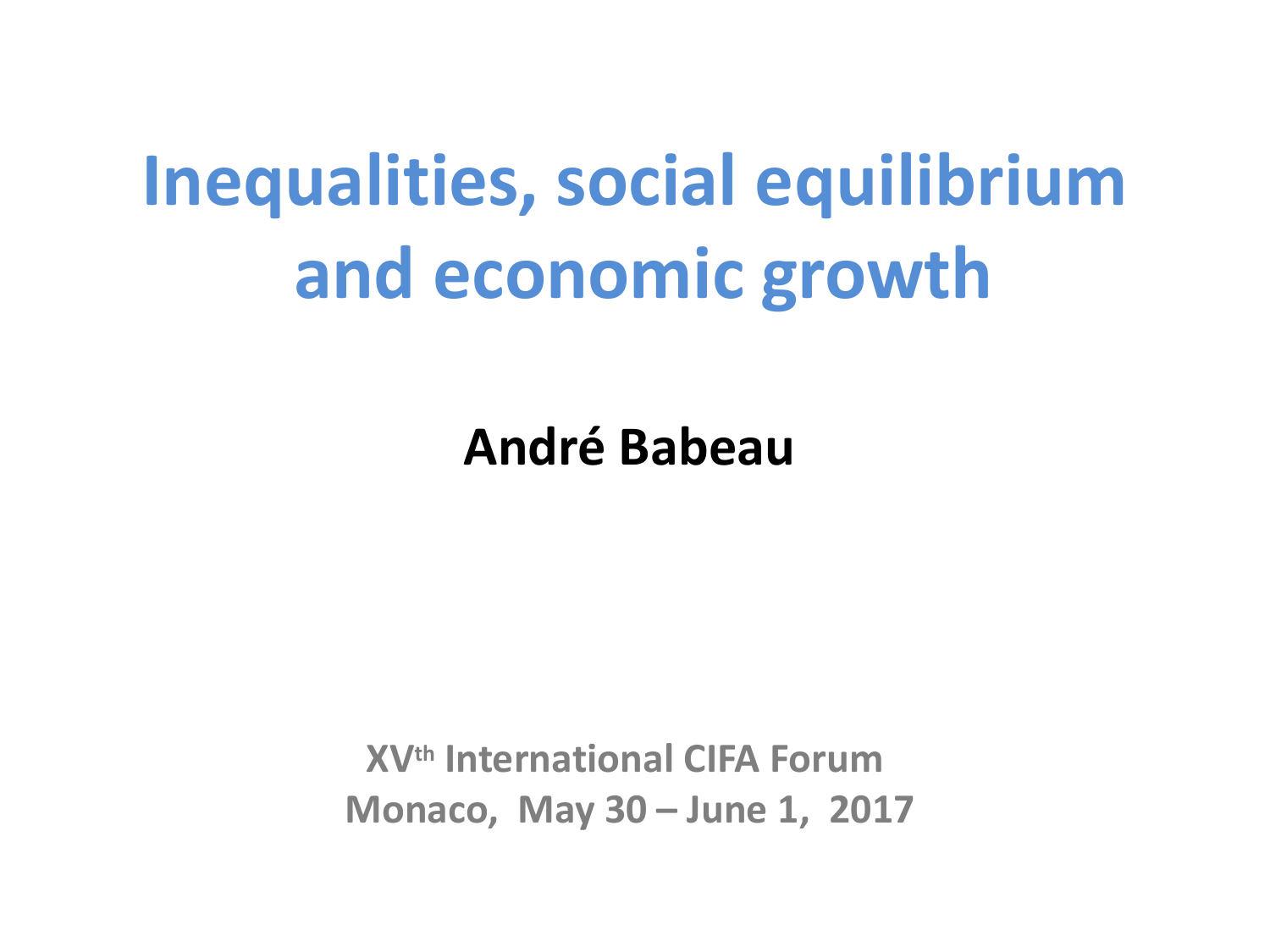# **Inequalities, social equilibrium and economic growth**

**André Babeau**

**XVth International CIFA Forum Monaco, May 30 – June 1, 2017**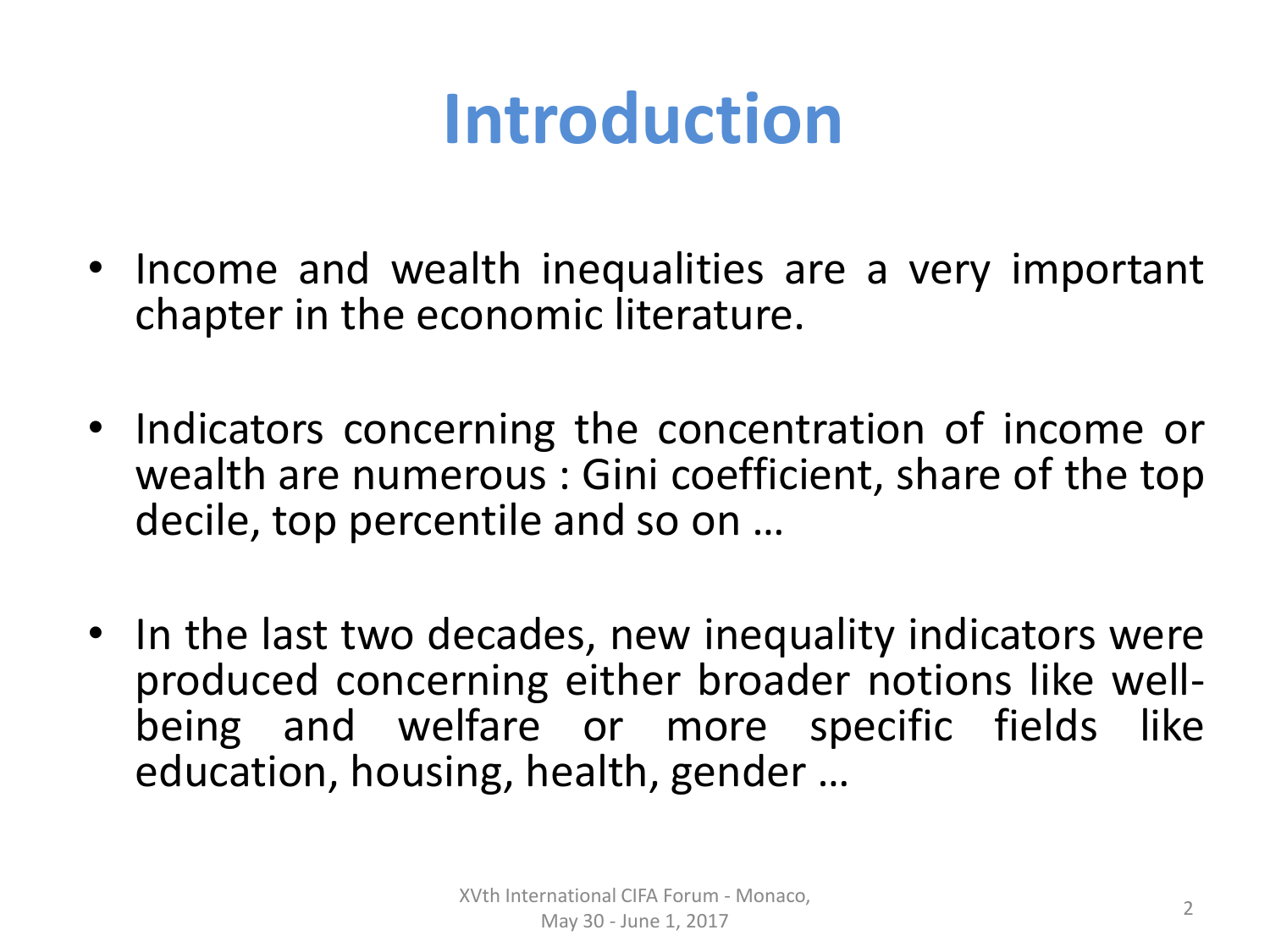# **Introduction**

- Income and wealth inequalities are a very important chapter in the economic literature.
- Indicators concerning the concentration of income or wealth are numerous : Gini coefficient, share of the top decile, top percentile and so on …
- In the last two decades, new inequality indicators were produced concerning either broader notions like wellbeing and welfare or more specific fields like education, housing, health, gender …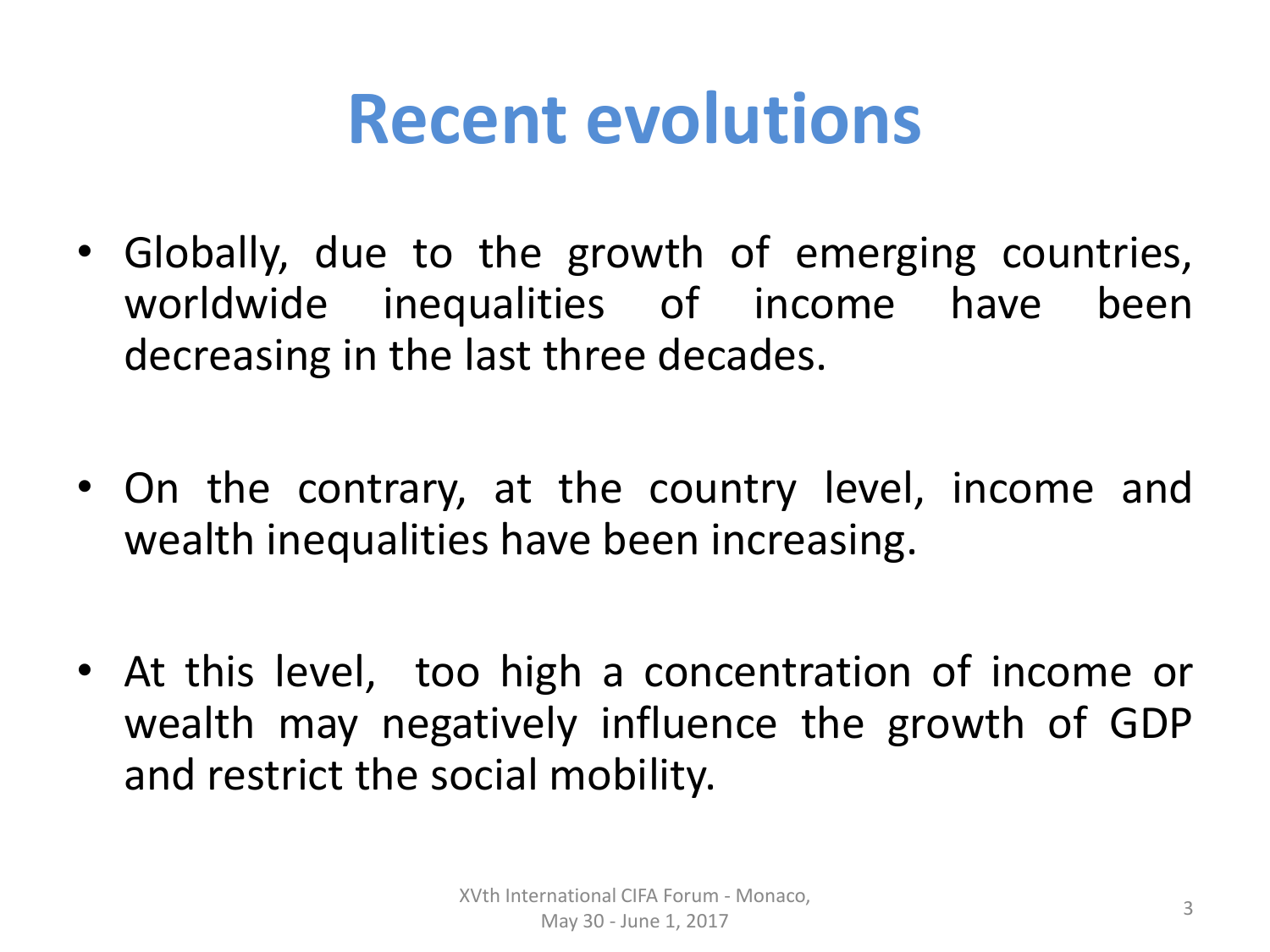#### **Recent evolutions**

- Globally, due to the growth of emerging countries, worldwide inequalities of income have been decreasing in the last three decades.
- On the contrary, at the country level, income and wealth inequalities have been increasing.
- At this level, too high a concentration of income or wealth may negatively influence the growth of GDP and restrict the social mobility.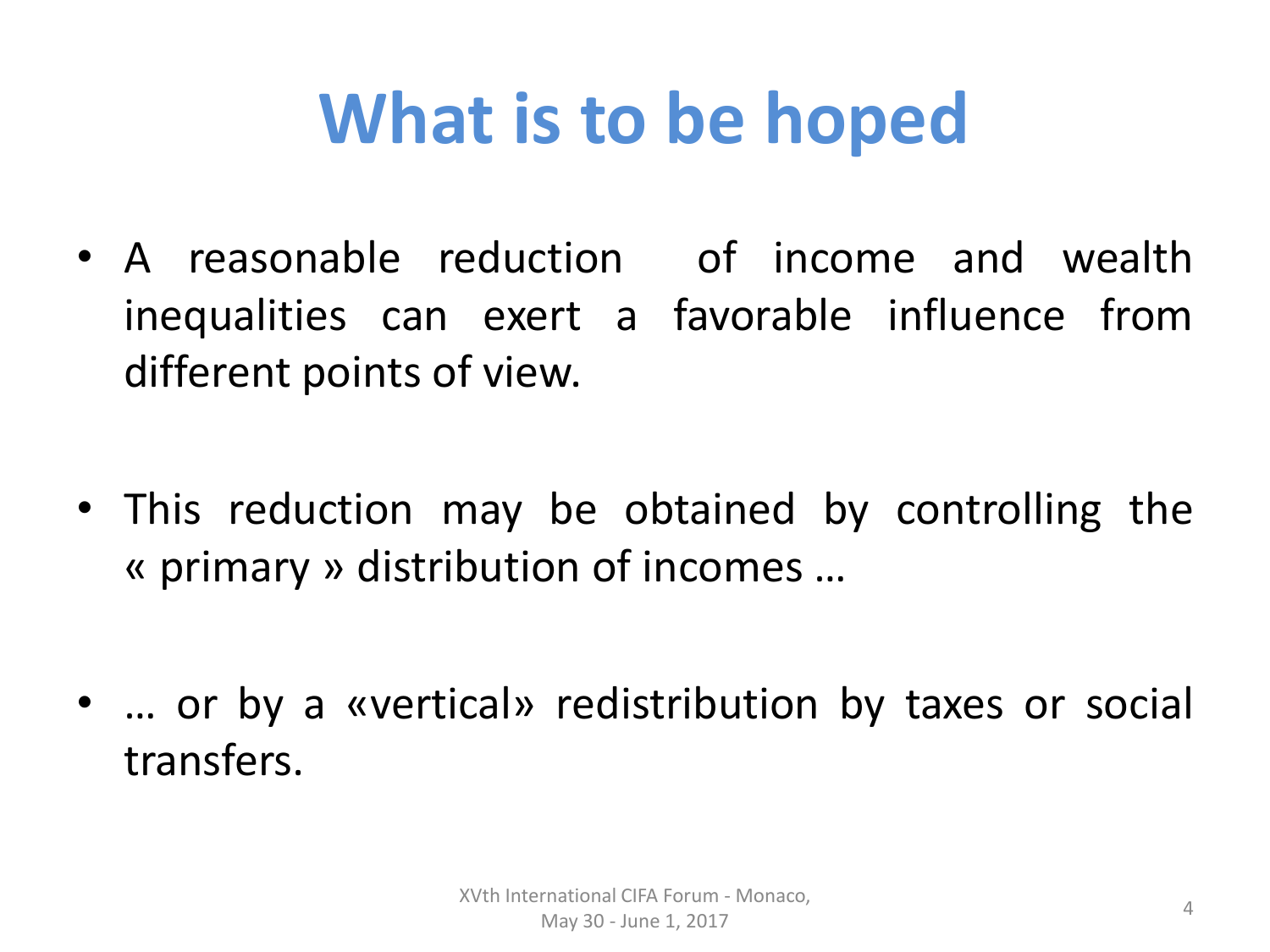# **What is to be hoped**

- A reasonable reduction of income and wealth inequalities can exert a favorable influence from different points of view.
- This reduction may be obtained by controlling the « primary » distribution of incomes …
- … or by a «vertical» redistribution by taxes or social transfers.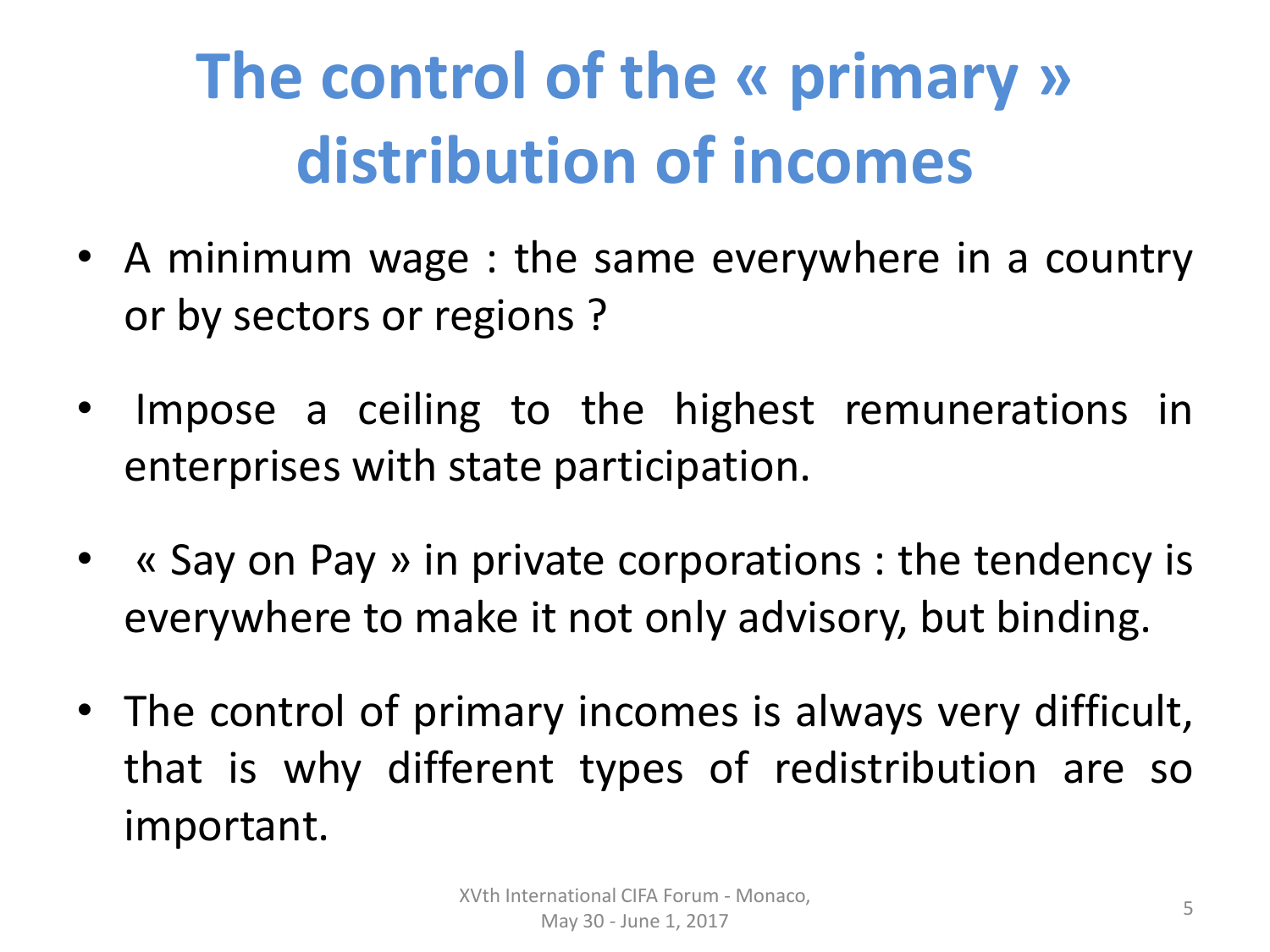# **The control of the « primary » distribution of incomes**

- A minimum wage : the same everywhere in a country or by sectors or regions ?
- Impose a ceiling to the highest remunerations in enterprises with state participation.
- « Say on Pay » in private corporations : the tendency is everywhere to make it not only advisory, but binding.
- The control of primary incomes is always very difficult, that is why different types of redistribution are so important.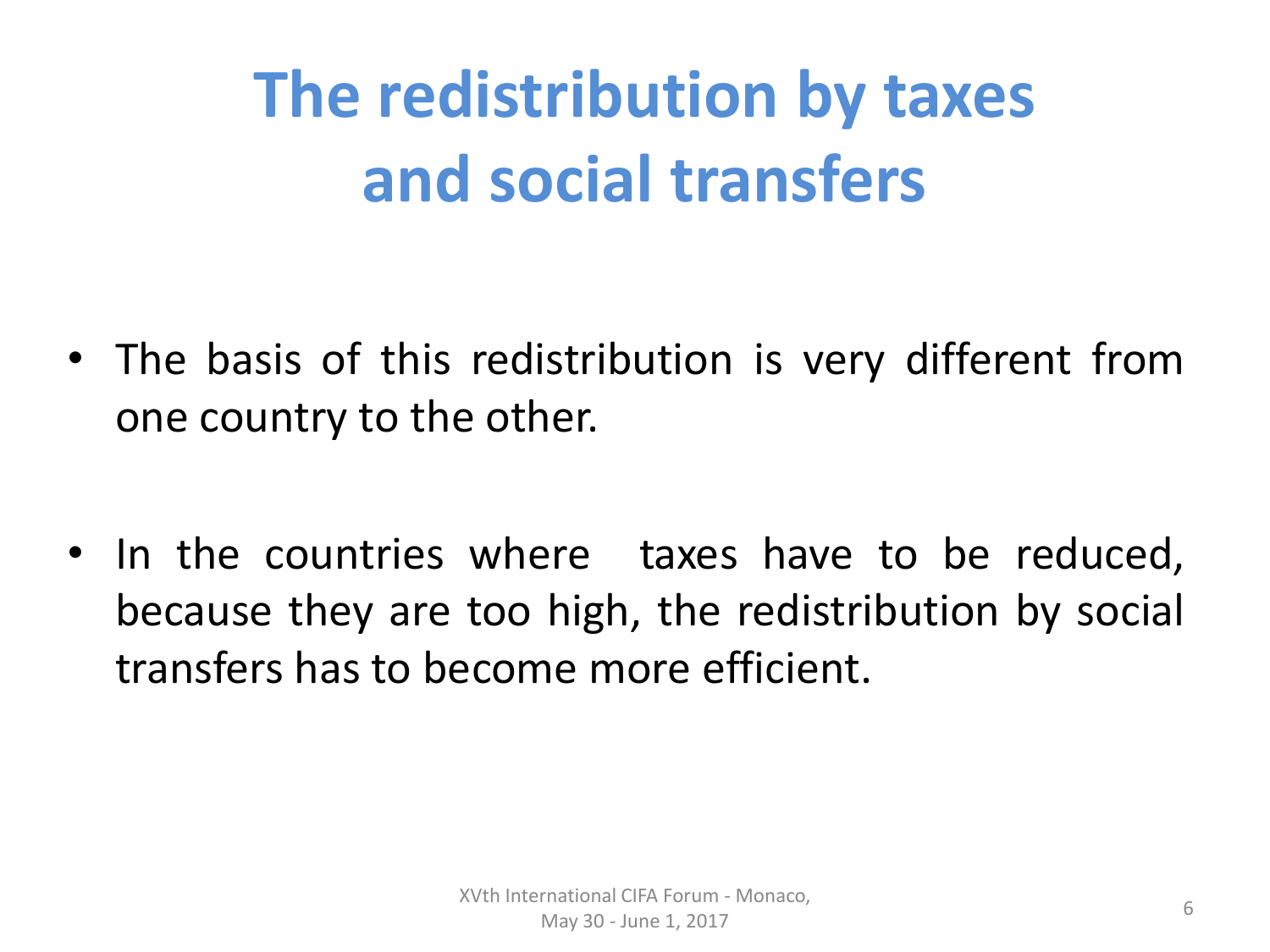# **The redistribution by taxes and social transfers**

- The basis of this redistribution is very different from one country to the other.
- In the countries where taxes have to be reduced, because they are too high, the redistribution by social transfers has to become more efficient.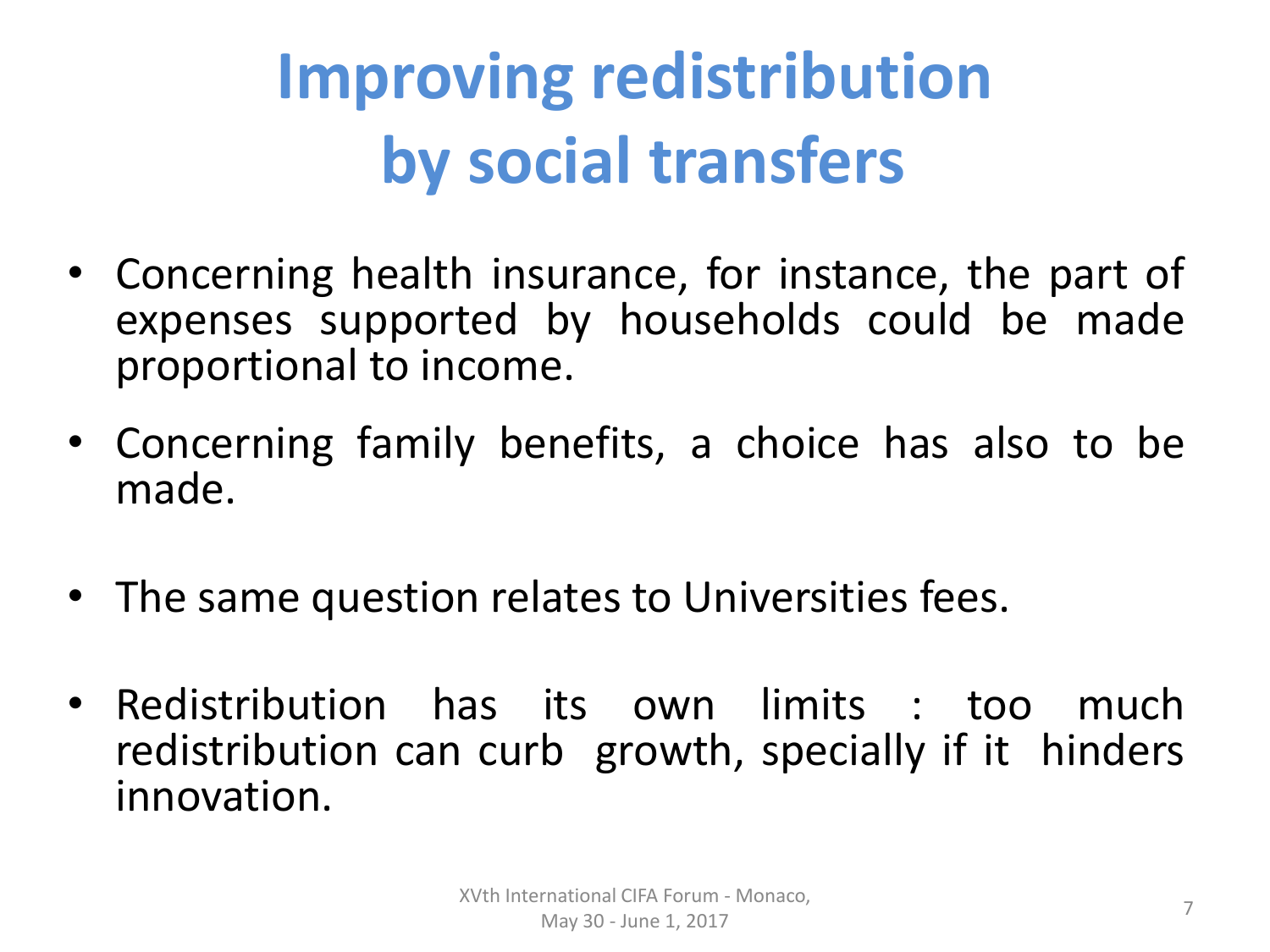# **Improving redistribution by social transfers**

- Concerning health insurance, for instance, the part of expenses supported by households could be made proportional to income.
- Concerning family benefits, a choice has also to be made.
- The same question relates to Universities fees.
- Redistribution has its own limits : too much redistribution can curb growth, specially if it hinders innovation.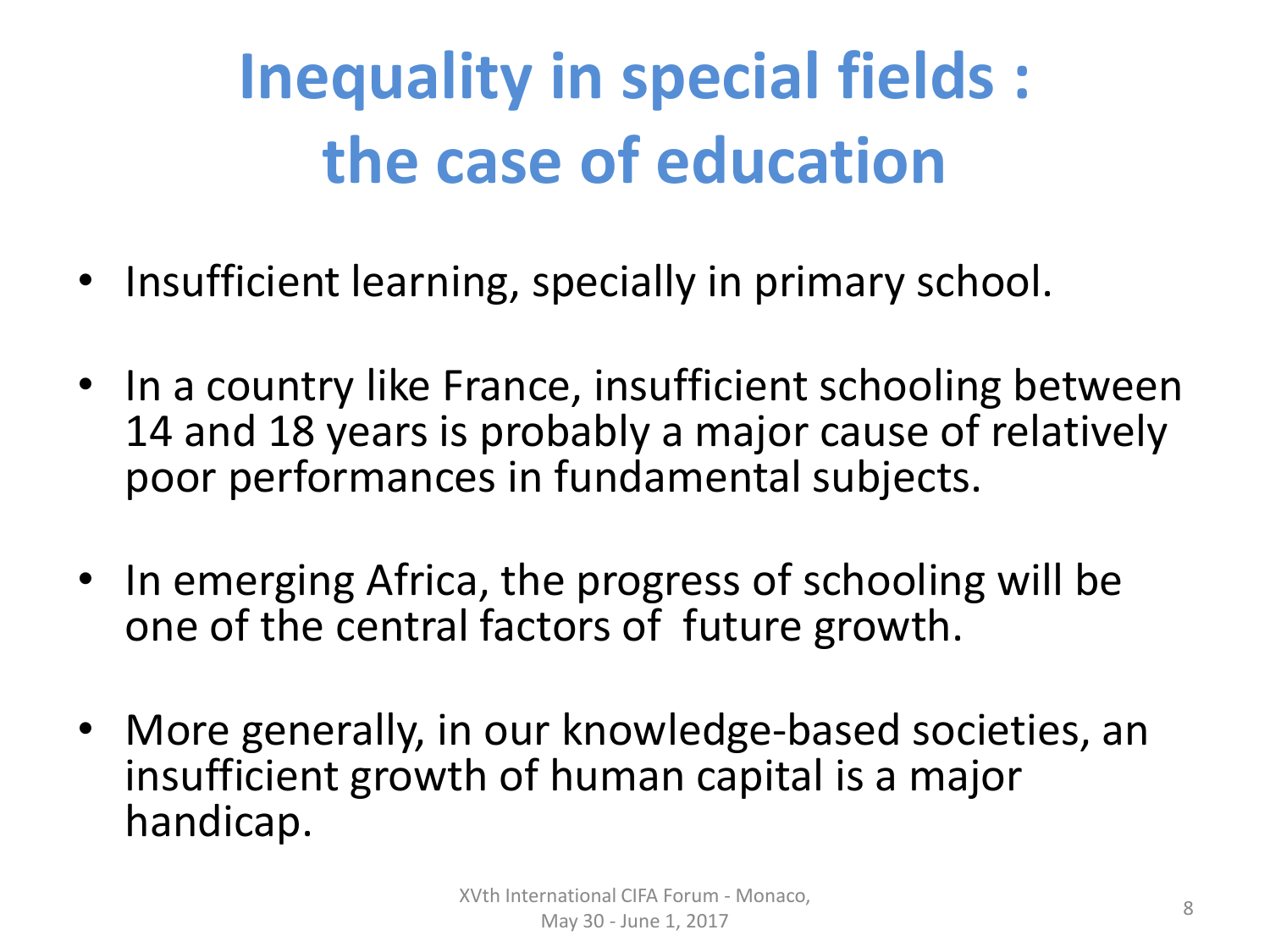# **Inequality in special fields : the case of education**

- Insufficient learning, specially in primary school.
- In a country like France, insufficient schooling between 14 and 18 years is probably a major cause of relatively poor performances in fundamental subjects.
- In emerging Africa, the progress of schooling will be one of the central factors of future growth.
- More generally, in our knowledge-based societies, an insufficient growth of human capital is a major handicap.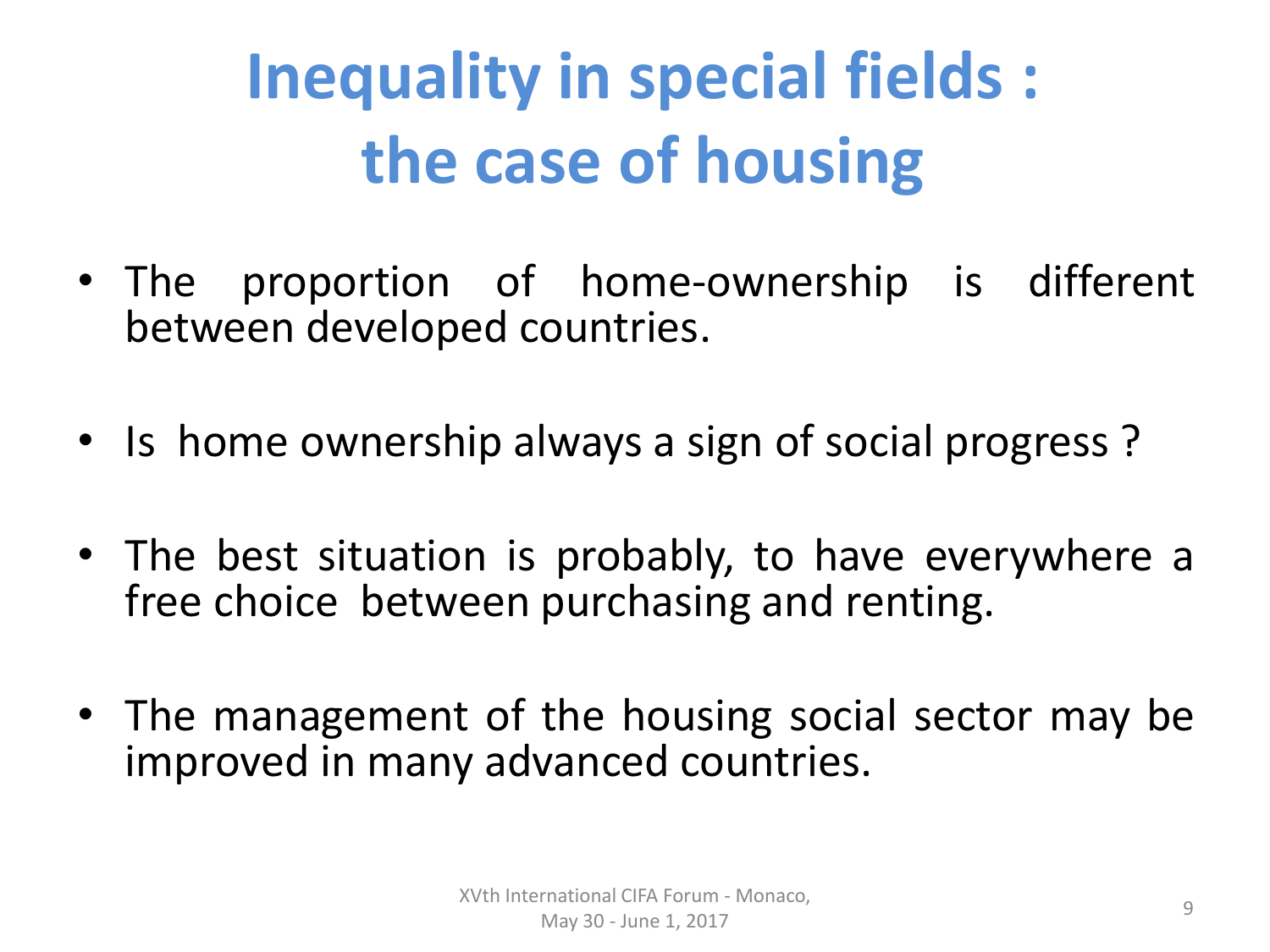# **Inequality in special fields : the case of housing**

- The proportion of home-ownership is different between developed countries.
- Is home ownership always a sign of social progress?
- The best situation is probably, to have everywhere a free choice between purchasing and renting.
- The management of the housing social sector may be improved in many advanced countries.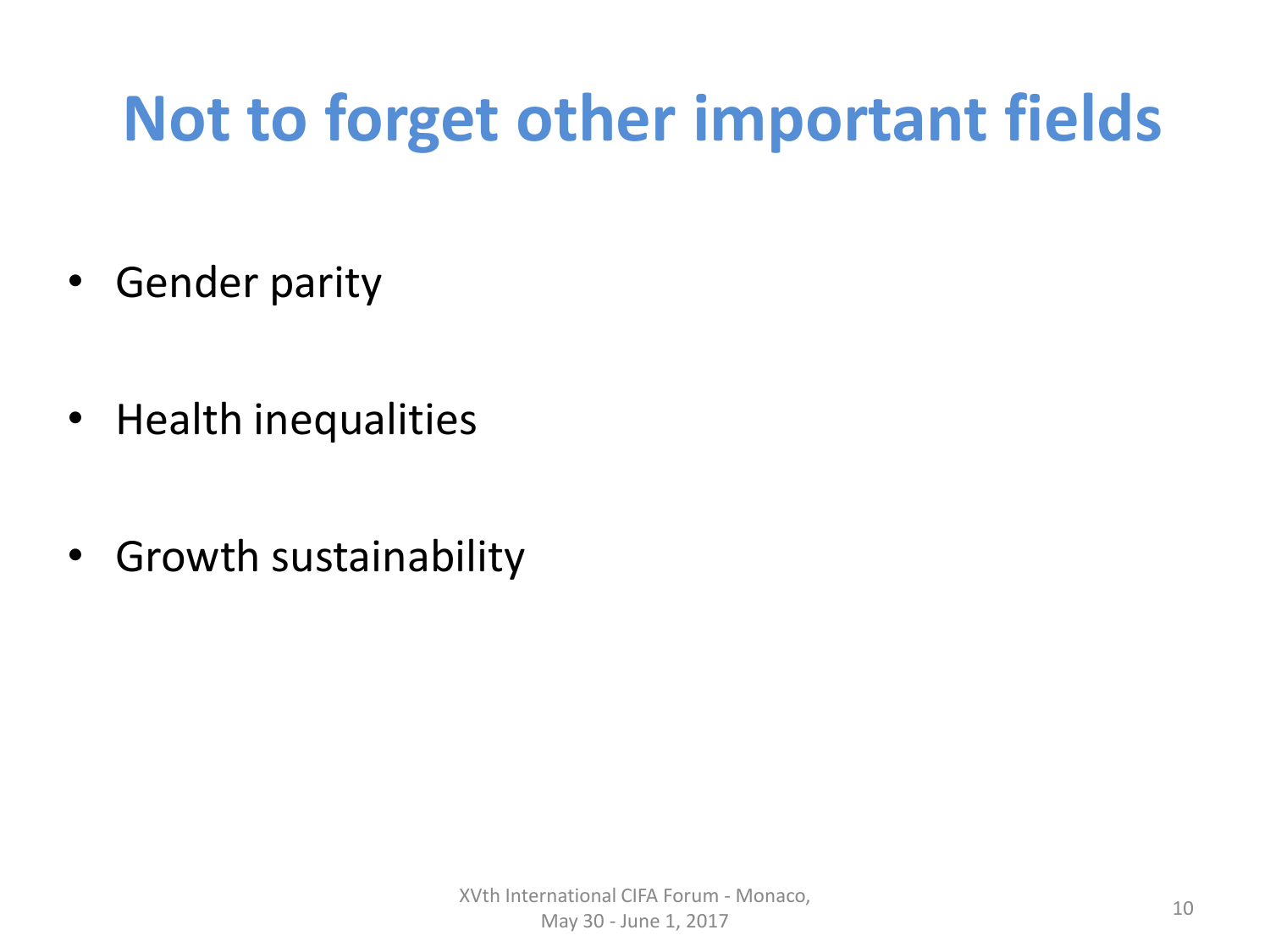#### **Not to forget other important fields**

- Gender parity
- Health inequalities
- Growth sustainability